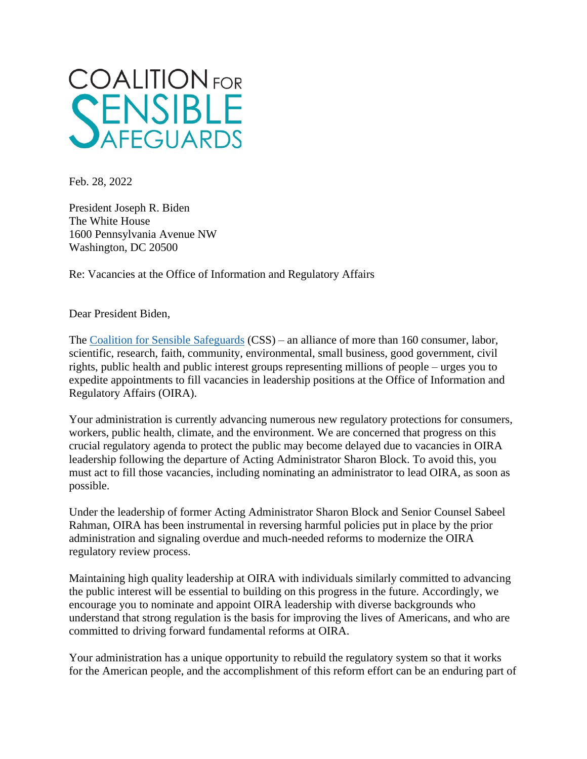

Feb. 28, 2022

President Joseph R. Biden The White House 1600 Pennsylvania Avenue NW Washington, DC 20500

Re: Vacancies at the Office of Information and Regulatory Affairs

Dear President Biden,

The [Coalition for Sensible Safeguards](https://sensiblesafeguards.org/) (CSS) – an alliance of more than 160 consumer, labor, scientific, research, faith, community, environmental, small business, good government, civil rights, public health and public interest groups representing millions of people – urges you to expedite appointments to fill vacancies in leadership positions at the Office of Information and Regulatory Affairs (OIRA).

Your administration is currently advancing numerous new regulatory protections for consumers, workers, public health, climate, and the environment. We are concerned that progress on this crucial regulatory agenda to protect the public may become delayed due to vacancies in OIRA leadership following the departure of Acting Administrator Sharon Block. To avoid this, you must act to fill those vacancies, including nominating an administrator to lead OIRA, as soon as possible.

Under the leadership of former Acting Administrator Sharon Block and Senior Counsel Sabeel Rahman, OIRA has been instrumental in reversing harmful policies put in place by the prior administration and signaling overdue and much-needed reforms to modernize the OIRA regulatory review process.

Maintaining high quality leadership at OIRA with individuals similarly committed to advancing the public interest will be essential to building on this progress in the future. Accordingly, we encourage you to nominate and appoint OIRA leadership with diverse backgrounds who understand that strong regulation is the basis for improving the lives of Americans, and who are committed to driving forward fundamental reforms at OIRA.

Your administration has a unique opportunity to rebuild the regulatory system so that it works for the American people, and the accomplishment of this reform effort can be an enduring part of